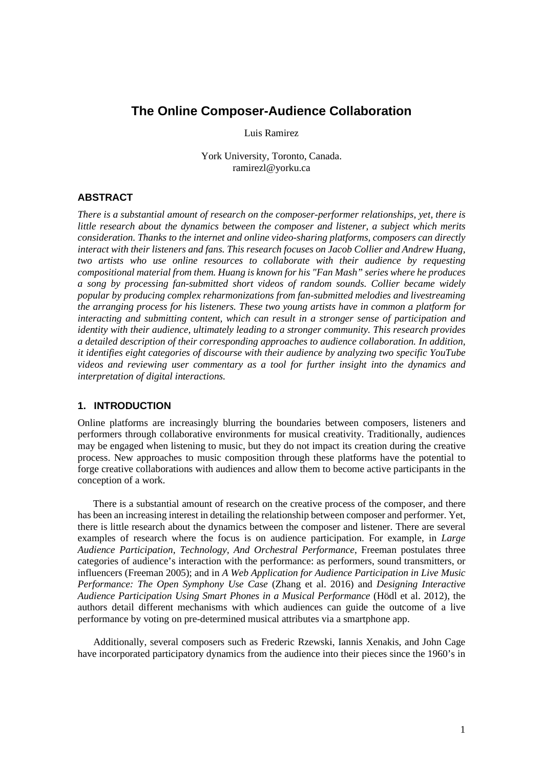# **The Online Composer-Audience Collaboration**

Luis Ramirez

York University, Toronto, Canada. ramirezl@yorku.ca

#### **ABSTRACT**

*There is a substantial amount of research on the composer-performer relationships, yet, there is little research about the dynamics between the composer and listener, a subject which merits consideration. Thanks to the internet and online video-sharing platforms, composers can directly interact with their listeners and fans. This research focuses on Jacob Collier and Andrew Huang, two artists who use online resources to collaborate with their audience by requesting compositional material from them. Huang is known for his "Fan Mash" series where he produces a song by processing fan-submitted short videos of random sounds. Collier became widely popular by producing complex reharmonizations from fan-submitted melodies and livestreaming the arranging process for his listeners. These two young artists have in common a platform for interacting and submitting content, which can result in a stronger sense of participation and identity with their audience, ultimately leading to a stronger community. This research provides a detailed description of their corresponding approaches to audience collaboration. In addition, it identifies eight categories of discourse with their audience by analyzing two specific YouTube videos and reviewing user commentary as a tool for further insight into the dynamics and interpretation of digital interactions.*

## **1. INTRODUCTION**

Online platforms are increasingly blurring the boundaries between composers, listeners and performers through collaborative environments for musical creativity. Traditionally, audiences may be engaged when listening to music, but they do not impact its creation during the creative process. New approaches to music composition through these platforms have the potential to forge creative collaborations with audiences and allow them to become active participants in the conception of a work.

There is a substantial amount of research on the creative process of the composer, and there has been an increasing interest in detailing the relationship between composer and performer. Yet, there is little research about the dynamics between the composer and listener. There are several examples of research where the focus is on audience participation. For example, in *Large Audience Participation, Technology, And Orchestral Performance*, Freeman postulates three categories of audience's interaction with the performance: as performers, sound transmitters, or influencers (Freeman 2005); and in *A Web Application for Audience Participation in Live Music Performance: The Open Symphony Use Case* (Zhang et al. 2016) and *Designing Interactive Audience Participation Using Smart Phones in a Musical Performance* (Hödl et al. 2012), the authors detail different mechanisms with which audiences can guide the outcome of a live performance by voting on pre-determined musical attributes via a smartphone app.

Additionally, several composers such as Frederic Rzewski, Iannis Xenakis, and John Cage have incorporated participatory dynamics from the audience into their pieces since the 1960's in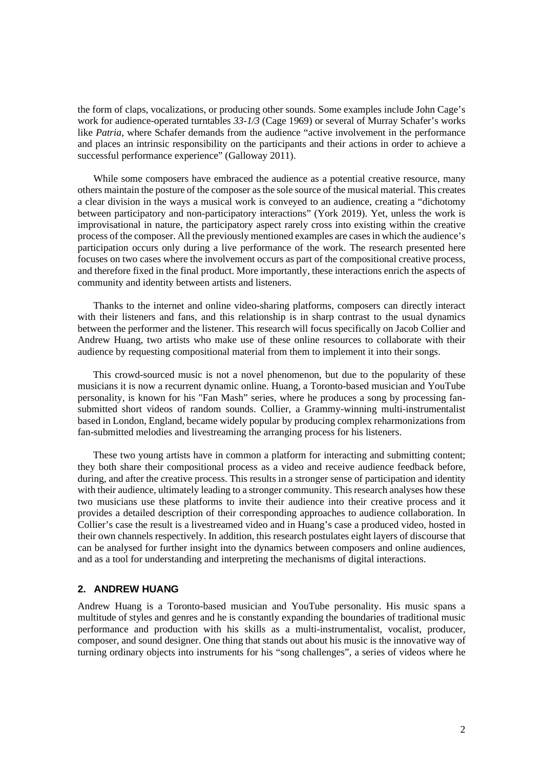the form of claps, vocalizations, or producing other sounds. Some examples include John Cage's work for audience-operated turntables *33-1/3* (Cage 1969) or several of Murray Schafer's works like *Patria*, where Schafer demands from the audience "active involvement in the performance" and places an intrinsic responsibility on the participants and their actions in order to achieve a successful performance experience" (Galloway 2011).

While some composers have embraced the audience as a potential creative resource, many others maintain the posture of the composer as the sole source of the musical material. This creates a clear division in the ways a musical work is conveyed to an audience, creating a "dichotomy between participatory and non-participatory interactions" (York 2019). Yet, unless the work is improvisational in nature, the participatory aspect rarely cross into existing within the creative process of the composer. All the previously mentioned examples are cases in which the audience's participation occurs only during a live performance of the work. The research presented here focuses on two cases where the involvement occurs as part of the compositional creative process, and therefore fixed in the final product. More importantly, these interactions enrich the aspects of community and identity between artists and listeners.

Thanks to the internet and online video-sharing platforms, composers can directly interact with their listeners and fans, and this relationship is in sharp contrast to the usual dynamics between the performer and the listener. This research will focus specifically on Jacob Collier and Andrew Huang, two artists who make use of these online resources to collaborate with their audience by requesting compositional material from them to implement it into their songs.

This crowd-sourced music is not a novel phenomenon, but due to the popularity of these musicians it is now a recurrent dynamic online. Huang, a Toronto-based musician and YouTube personality, is known for his "Fan Mash" series, where he produces a song by processing fansubmitted short videos of random sounds. Collier, a Grammy-winning multi-instrumentalist based in London, England, became widely popular by producing complex reharmonizations from fan-submitted melodies and livestreaming the arranging process for his listeners.

These two young artists have in common a platform for interacting and submitting content; they both share their compositional process as a video and receive audience feedback before, during, and after the creative process. This results in a stronger sense of participation and identity with their audience, ultimately leading to a stronger community. This research analyses how these two musicians use these platforms to invite their audience into their creative process and it provides a detailed description of their corresponding approaches to audience collaboration. In Collier's case the result is a livestreamed video and in Huang's case a produced video, hosted in their own channels respectively. In addition, this research postulates eight layers of discourse that can be analysed for further insight into the dynamics between composers and online audiences, and as a tool for understanding and interpreting the mechanisms of digital interactions.

#### **2. ANDREW HUANG**

Andrew Huang is a Toronto-based musician and YouTube personality. His music spans a multitude of styles and genres and he is constantly expanding the boundaries of traditional music performance and production with his skills as a multi-instrumentalist, vocalist, producer, composer, and sound designer. One thing that stands out about his music is the innovative way of turning ordinary objects into instruments for his "song challenges", a series of videos where he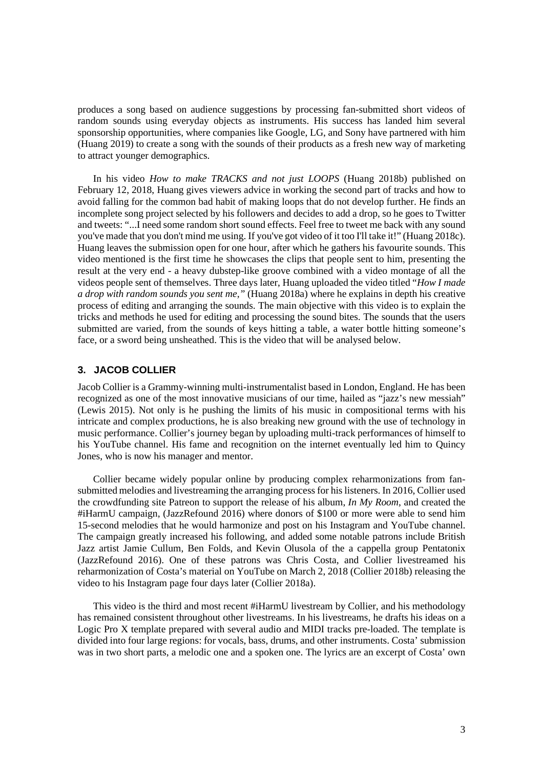produces a song based on audience suggestions by processing fan-submitted short videos of random sounds using everyday objects as instruments. His success has landed him several sponsorship opportunities, where companies like Google, LG, and Sony have partnered with him (Huang 2019) to create a song with the sounds of their products as a fresh new way of marketing to attract younger demographics.

In his video *How to make TRACKS and not just LOOPS* (Huang 2018b) published on February 12, 2018, Huang gives viewers advice in working the second part of tracks and how to avoid falling for the common bad habit of making loops that do not develop further. He finds an incomplete song project selected by his followers and decides to add a drop, so he goes to Twitter and tweets: "...I need some random short sound effects. Feel free to tweet me back with any sound you've made that you don't mind me using. If you've got video of it too I'll take it!" (Huang 2018c). Huang leaves the submission open for one hour, after which he gathers his favourite sounds. This video mentioned is the first time he showcases the clips that people sent to him, presenting the result at the very end - a heavy dubstep-like groove combined with a video montage of all the videos people sent of themselves. Three days later, Huang uploaded the video titled "*How I made a drop with random sounds you sent me,"* (Huang 2018a) where he explains in depth his creative process of editing and arranging the sounds. The main objective with this video is to explain the tricks and methods he used for editing and processing the sound bites. The sounds that the users submitted are varied, from the sounds of keys hitting a table, a water bottle hitting someone's face, or a sword being unsheathed. This is the video that will be analysed below.

#### **3. JACOB COLLIER**

Jacob Collier is a Grammy-winning multi-instrumentalist based in London, England. He has been recognized as one of the most innovative musicians of our time, hailed as "jazz's new messiah" (Lewis 2015). Not only is he pushing the limits of his music in compositional terms with his intricate and complex productions, he is also breaking new ground with the use of technology in music performance. Collier's journey began by uploading multi-track performances of himself to his YouTube channel. His fame and recognition on the internet eventually led him to Quincy Jones, who is now his manager and mentor.

Collier became widely popular online by producing complex reharmonizations from fansubmitted melodies and livestreaming the arranging process for his listeners. In 2016, Collier used the crowdfunding site Patreon to support the release of his album, *In My Room*, and created the #iHarmU campaign, (JazzRefound 2016) where donors of \$100 or more were able to send him 15-second melodies that he would harmonize and post on his Instagram and YouTube channel. The campaign greatly increased his following, and added some notable patrons include British Jazz artist Jamie Cullum, Ben Folds, and Kevin Olusola of the a cappella group Pentatonix (JazzRefound 2016). One of these patrons was Chris Costa, and Collier livestreamed his reharmonization of Costa's material on YouTube on March 2, 2018 (Collier 2018b) releasing the video to his Instagram page four days later (Collier 2018a).

This video is the third and most recent #iHarmU livestream by Collier, and his methodology has remained consistent throughout other livestreams. In his livestreams, he drafts his ideas on a Logic Pro X template prepared with several audio and MIDI tracks pre-loaded. The template is divided into four large regions: for vocals, bass, drums, and other instruments. Costa' submission was in two short parts, a melodic one and a spoken one. The lyrics are an excerpt of Costa' own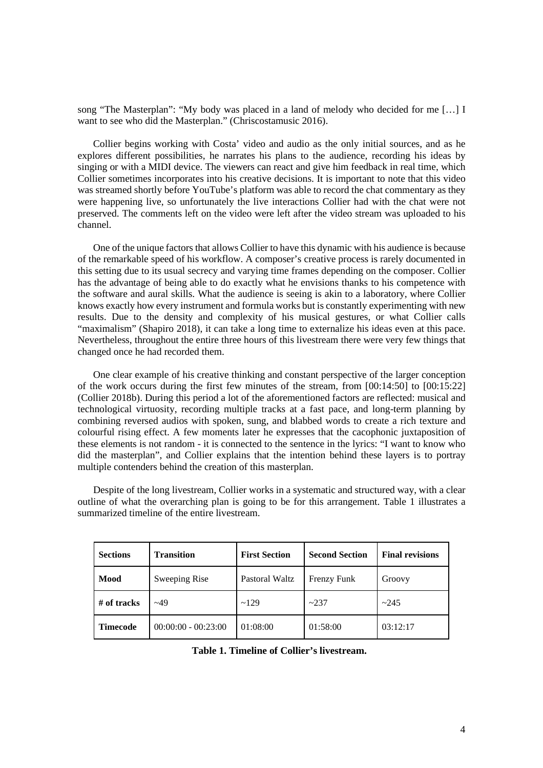song "The Masterplan": "My body was placed in a land of melody who decided for me […] I want to see who did the Masterplan." (Chriscostamusic 2016).

Collier begins working with Costa' video and audio as the only initial sources, and as he explores different possibilities, he narrates his plans to the audience, recording his ideas by singing or with a MIDI device. The viewers can react and give him feedback in real time, which Collier sometimes incorporates into his creative decisions. It is important to note that this video was streamed shortly before YouTube's platform was able to record the chat commentary as they were happening live, so unfortunately the live interactions Collier had with the chat were not preserved. The comments left on the video were left after the video stream was uploaded to his channel.

One of the unique factors that allows Collier to have this dynamic with his audience is because of the remarkable speed of his workflow. A composer's creative process is rarely documented in this setting due to its usual secrecy and varying time frames depending on the composer. Collier has the advantage of being able to do exactly what he envisions thanks to his competence with the software and aural skills. What the audience is seeing is akin to a laboratory, where Collier knows exactly how every instrument and formula works but is constantly experimenting with new results. Due to the density and complexity of his musical gestures, or what Collier calls "maximalism" (Shapiro 2018), it can take a long time to externalize his ideas even at this pace. Nevertheless, throughout the entire three hours of this livestream there were very few things that changed once he had recorded them.

One clear example of his creative thinking and constant perspective of the larger conception of the work occurs during the first few minutes of the stream, from [00:14:50] to [00:15:22] (Collier 2018b). During this period a lot of the aforementioned factors are reflected: musical and technological virtuosity, recording multiple tracks at a fast pace, and long-term planning by combining reversed audios with spoken, sung, and blabbed words to create a rich texture and colourful rising effect. A few moments later he expresses that the cacophonic juxtaposition of these elements is not random - it is connected to the sentence in the lyrics: "I want to know who did the masterplan", and Collier explains that the intention behind these layers is to portray multiple contenders behind the creation of this masterplan.

Despite of the long livestream, Collier works in a systematic and structured way, with a clear outline of what the overarching plan is going to be for this arrangement. Table 1 illustrates a summarized timeline of the entire livestream.

| <b>Sections</b> | <b>Transition</b>     | <b>First Section</b> | <b>Second Section</b> | <b>Final revisions</b> |
|-----------------|-----------------------|----------------------|-----------------------|------------------------|
| Mood            | Sweeping Rise         | Pastoral Waltz       | Frenzy Funk           | Groovy                 |
| $#$ of tracks   | $-49$                 | ~129                 | ~237                  | ~245                   |
| <b>Timecode</b> | $00:00:00 - 00:23:00$ | 01:08:00             | 01:58:00              | 03:12:17               |

**Table 1. Timeline of Collier's livestream.**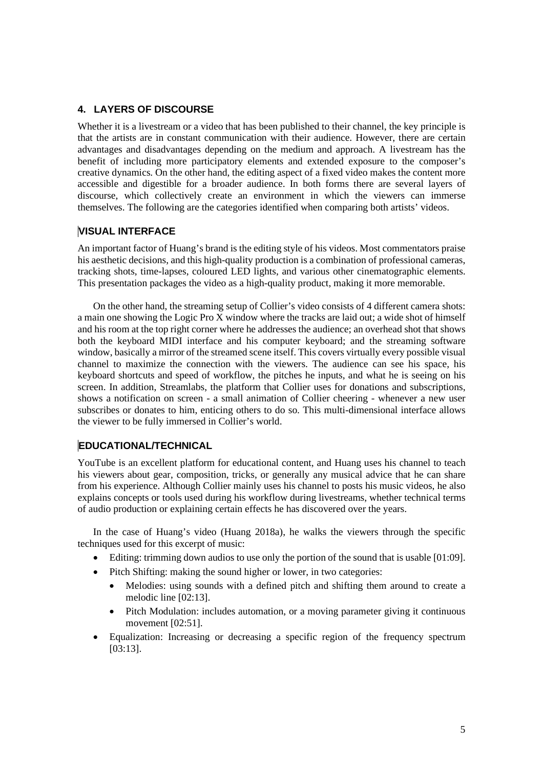### **4. LAYERS OF DISCOURSE**

Whether it is a livestream or a video that has been published to their channel, the key principle is that the artists are in constant communication with their audience. However, there are certain advantages and disadvantages depending on the medium and approach. A livestream has the benefit of including more participatory elements and extended exposure to the composer's creative dynamics. On the other hand, the editing aspect of a fixed video makes the content more accessible and digestible for a broader audience. In both forms there are several layers of discourse, which collectively create an environment in which the viewers can immerse themselves. The following are the categories identified when comparing both artists' videos.

### **VISUAL INTERFACE**

An important factor of Huang's brand is the editing style of his videos. Most commentators praise his aesthetic decisions, and this high-quality production is a combination of professional cameras, tracking shots, time-lapses, coloured LED lights, and various other cinematographic elements. This presentation packages the video as a high-quality product, making it more memorable.

On the other hand, the streaming setup of Collier's video consists of 4 different camera shots: a main one showing the Logic Pro X window where the tracks are laid out; a wide shot of himself and his room at the top right corner where he addresses the audience; an overhead shot that shows both the keyboard MIDI interface and his computer keyboard; and the streaming software window, basically a mirror of the streamed scene itself. This covers virtually every possible visual channel to maximize the connection with the viewers. The audience can see his space, his keyboard shortcuts and speed of workflow, the pitches he inputs, and what he is seeing on his screen. In addition, Streamlabs, the platform that Collier uses for donations and subscriptions, shows a notification on screen - a small animation of Collier cheering - whenever a new user subscribes or donates to him, enticing others to do so. This multi-dimensional interface allows the viewer to be fully immersed in Collier's world.

## **EDUCATIONAL/TECHNICAL**

YouTube is an excellent platform for educational content, and Huang uses his channel to teach his viewers about gear, composition, tricks, or generally any musical advice that he can share from his experience. Although Collier mainly uses his channel to posts his music videos, he also explains concepts or tools used during his workflow during livestreams, whether technical terms of audio production or explaining certain effects he has discovered over the years.

In the case of Huang's video (Huang 2018a), he walks the viewers through the specific techniques used for this excerpt of music:

- Editing: trimming down audios to use only the portion of the sound that is usable [01:09].
- Pitch Shifting: making the sound higher or lower, in two categories:
	- Melodies: using sounds with a defined pitch and shifting them around to create a melodic line [02:13].
	- Pitch Modulation: includes automation, or a moving parameter giving it continuous movement [02:51].
- Equalization: Increasing or decreasing a specific region of the frequency spectrum [03:13].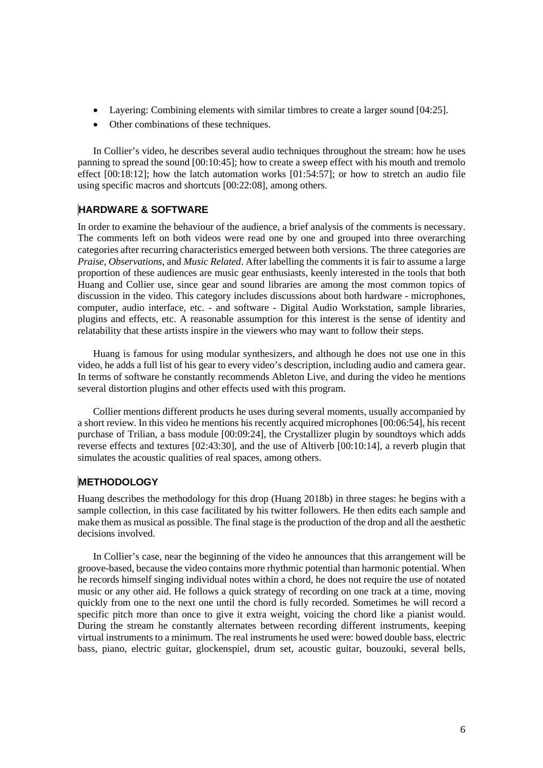- Layering: Combining elements with similar timbres to create a larger sound [04:25].
- Other combinations of these techniques.

In Collier's video, he describes several audio techniques throughout the stream: how he uses panning to spread the sound [00:10:45]; how to create a sweep effect with his mouth and tremolo effect [00:18:12]; how the latch automation works [01:54:57]; or how to stretch an audio file using specific macros and shortcuts [00:22:08], among others.

### **HARDWARE & SOFTWARE**

In order to examine the behaviour of the audience, a brief analysis of the comments is necessary. The comments left on both videos were read one by one and grouped into three overarching categories after recurring characteristics emerged between both versions. The three categories are *Praise*, *Observations*, and *Music Related*. After labelling the comments it is fair to assume a large proportion of these audiences are music gear enthusiasts, keenly interested in the tools that both Huang and Collier use, since gear and sound libraries are among the most common topics of discussion in the video. This category includes discussions about both hardware - microphones, computer, audio interface, etc. - and software - Digital Audio Workstation, sample libraries, plugins and effects, etc. A reasonable assumption for this interest is the sense of identity and relatability that these artists inspire in the viewers who may want to follow their steps.

Huang is famous for using modular synthesizers, and although he does not use one in this video, he adds a full list of his gear to every video's description, including audio and camera gear. In terms of software he constantly recommends Ableton Live, and during the video he mentions several distortion plugins and other effects used with this program.

Collier mentions different products he uses during several moments, usually accompanied by a short review. In this video he mentions his recently acquired microphones [00:06:54], his recent purchase of Trilian, a bass module [00:09:24], the Crystallizer plugin by soundtoys which adds reverse effects and textures [02:43:30], and the use of Altiverb [00:10:14], a reverb plugin that simulates the acoustic qualities of real spaces, among others.

### **METHODOLOGY**

Huang describes the methodology for this drop (Huang 2018b) in three stages: he begins with a sample collection, in this case facilitated by his twitter followers. He then edits each sample and make them as musical as possible. The final stage is the production of the drop and all the aesthetic decisions involved.

In Collier's case, near the beginning of the video he announces that this arrangement will be groove-based, because the video contains more rhythmic potential than harmonic potential. When he records himself singing individual notes within a chord, he does not require the use of notated music or any other aid. He follows a quick strategy of recording on one track at a time, moving quickly from one to the next one until the chord is fully recorded. Sometimes he will record a specific pitch more than once to give it extra weight, voicing the chord like a pianist would. During the stream he constantly alternates between recording different instruments, keeping virtual instruments to a minimum. The real instruments he used were: bowed double bass, electric bass, piano, electric guitar, glockenspiel, drum set, acoustic guitar, bouzouki, several bells,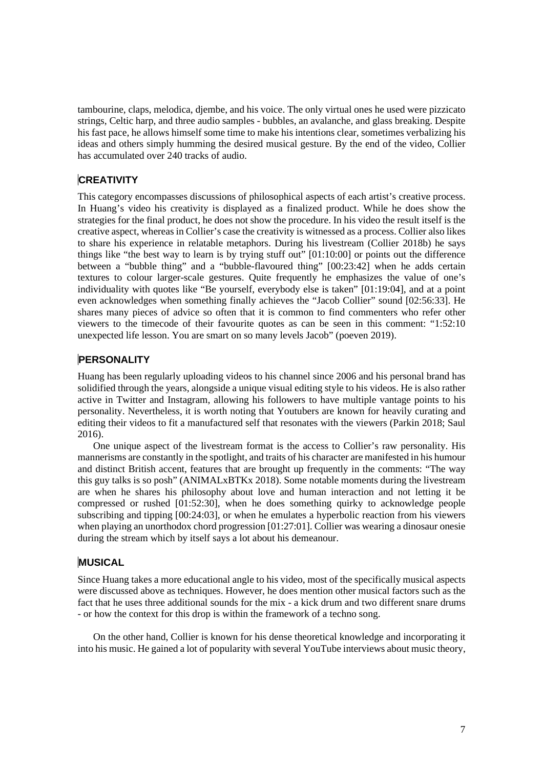tambourine, claps, melodica, djembe, and his voice. The only virtual ones he used were pizzicato strings, Celtic harp, and three audio samples - bubbles, an avalanche, and glass breaking. Despite his fast pace, he allows himself some time to make his intentions clear, sometimes verbalizing his ideas and others simply humming the desired musical gesture. By the end of the video, Collier has accumulated over 240 tracks of audio.

## **CREATIVITY**

This category encompasses discussions of philosophical aspects of each artist's creative process. In Huang's video his creativity is displayed as a finalized product. While he does show the strategies for the final product, he does not show the procedure. In his video the result itself is the creative aspect, whereas in Collier's case the creativity is witnessed as a process. Collier also likes to share his experience in relatable metaphors. During his livestream (Collier 2018b) he says things like "the best way to learn is by trying stuff out" [01:10:00] or points out the difference between a "bubble thing" and a "bubble-flavoured thing" [00:23:42] when he adds certain textures to colour larger-scale gestures. Quite frequently he emphasizes the value of one's individuality with quotes like "Be yourself, everybody else is taken" [01:19:04], and at a point even acknowledges when something finally achieves the "Jacob Collier" sound [02:56:33]. He shares many pieces of advice so often that it is common to find commenters who refer other viewers to the timecode of their favourite quotes as can be seen in this comment: "1:52:10 unexpected life lesson. You are smart on so many levels Jacob" (poeven 2019).

## **PERSONALITY**

Huang has been regularly uploading videos to his channel since 2006 and his personal brand has solidified through the years, alongside a unique visual editing style to his videos. He is also rather active in Twitter and Instagram, allowing his followers to have multiple vantage points to his personality. Nevertheless, it is worth noting that Youtubers are known for heavily curating and editing their videos to fit a manufactured self that resonates with the viewers (Parkin 2018; Saul 2016).

One unique aspect of the livestream format is the access to Collier's raw personality. His mannerisms are constantly in the spotlight, and traits of his character are manifested in his humour and distinct British accent, features that are brought up frequently in the comments: "The way this guy talks is so posh" (ANIMALxBTKx 2018). Some notable moments during the livestream are when he shares his philosophy about love and human interaction and not letting it be compressed or rushed [01:52:30], when he does something quirky to acknowledge people subscribing and tipping [00:24:03], or when he emulates a hyperbolic reaction from his viewers when playing an unorthodox chord progression [01:27:01]. Collier was wearing a dinosaur onesie during the stream which by itself says a lot about his demeanour.

## **MUSICAL**

Since Huang takes a more educational angle to his video, most of the specifically musical aspects were discussed above as techniques. However, he does mention other musical factors such as the fact that he uses three additional sounds for the mix - a kick drum and two different snare drums - or how the context for this drop is within the framework of a techno song.

On the other hand, Collier is known for his dense theoretical knowledge and incorporating it into his music. He gained a lot of popularity with several YouTube interviews about music theory,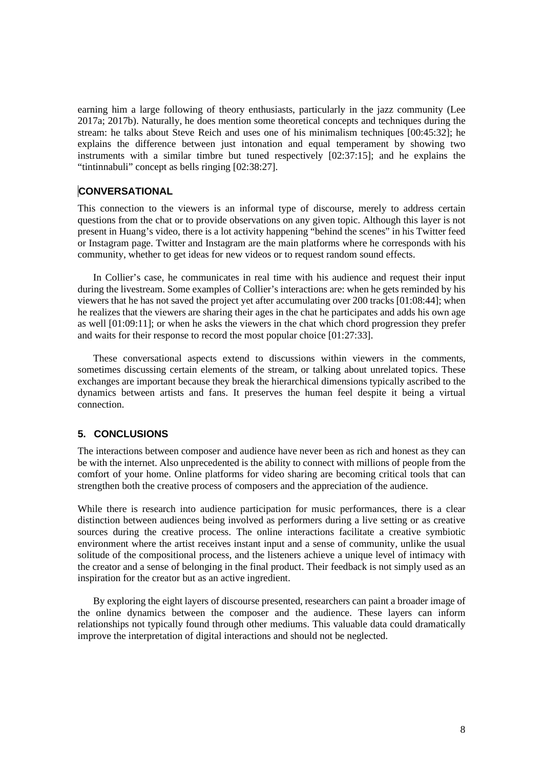earning him a large following of theory enthusiasts, particularly in the jazz community (Lee 2017a; 2017b). Naturally, he does mention some theoretical concepts and techniques during the stream: he talks about Steve Reich and uses one of his minimalism techniques [00:45:32]; he explains the difference between just intonation and equal temperament by showing two instruments with a similar timbre but tuned respectively [02:37:15]; and he explains the "tintinnabuli" concept as bells ringing [02:38:27].

### **CONVERSATIONAL**

This connection to the viewers is an informal type of discourse, merely to address certain questions from the chat or to provide observations on any given topic. Although this layer is not present in Huang's video, there is a lot activity happening "behind the scenes" in his Twitter feed or Instagram page. Twitter and Instagram are the main platforms where he corresponds with his community, whether to get ideas for new videos or to request random sound effects.

In Collier's case, he communicates in real time with his audience and request their input during the livestream. Some examples of Collier's interactions are: when he gets reminded by his viewers that he has not saved the project yet after accumulating over 200 tracks [01:08:44]; when he realizes that the viewers are sharing their ages in the chat he participates and adds his own age as well [01:09:11]; or when he asks the viewers in the chat which chord progression they prefer and waits for their response to record the most popular choice [01:27:33].

These conversational aspects extend to discussions within viewers in the comments, sometimes discussing certain elements of the stream, or talking about unrelated topics. These exchanges are important because they break the hierarchical dimensions typically ascribed to the dynamics between artists and fans. It preserves the human feel despite it being a virtual connection.

### **5. CONCLUSIONS**

The interactions between composer and audience have never been as rich and honest as they can be with the internet. Also unprecedented is the ability to connect with millions of people from the comfort of your home. Online platforms for video sharing are becoming critical tools that can strengthen both the creative process of composers and the appreciation of the audience.

While there is research into audience participation for music performances, there is a clear distinction between audiences being involved as performers during a live setting or as creative sources during the creative process. The online interactions facilitate a creative symbiotic environment where the artist receives instant input and a sense of community, unlike the usual solitude of the compositional process, and the listeners achieve a unique level of intimacy with the creator and a sense of belonging in the final product. Their feedback is not simply used as an inspiration for the creator but as an active ingredient.

By exploring the eight layers of discourse presented, researchers can paint a broader image of the online dynamics between the composer and the audience. These layers can inform relationships not typically found through other mediums. This valuable data could dramatically improve the interpretation of digital interactions and should not be neglected.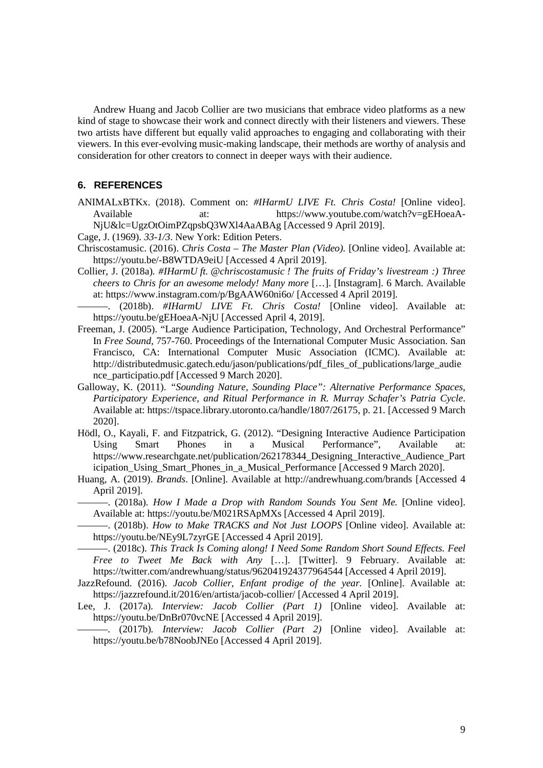Andrew Huang and Jacob Collier are two musicians that embrace video platforms as a new kind of stage to showcase their work and connect directly with their listeners and viewers. These two artists have different but equally valid approaches to engaging and collaborating with their viewers. In this ever-evolving music-making landscape, their methods are worthy of analysis and consideration for other creators to connect in deeper ways with their audience.

#### **6. REFERENCES**

ANIMALxBTKx. (2018). Comment on: *#IHarmU LIVE Ft. Chris Costa!* [Online video]. Available at: https://www.youtube.com/watch?v=gEHoeaA-NjU&lc=UgzOtOimPZqpsbQ3WXl4AaABAg [Accessed 9 April 2019].

Cage, J. (1969). *33-1/3*. New York: Edition Peters.

- Chriscostamusic. (2016). *Chris Costa – The Master Plan (Video).* [Online video]. Available at: https://youtu.be/-B8WTDA9eiU [Accessed 4 April 2019].
- Collier, J. (2018a)*. #IHarmU ft. @chriscostamusic ! The fruits of Friday's livestream :) Three cheers to Chris for an awesome melody! Many more* […]. [Instagram]. 6 March. Available at: https://www.instagram.com/p/BgAAW60ni6o/ [Accessed 4 April 2019].
- ———. (2018b). *#IHarmU LIVE Ft. Chris Costa!* [Online video]. Available at: https://youtu.be/gEHoeaA-NjU [Accessed April 4, 2019].
- Freeman, J. (2005). "Large Audience Participation, Technology, And Orchestral Performance" In *Free Sound,* 757-760. Proceedings of the International Computer Music Association. San Francisco, CA: International Computer Music Association (ICMC). Available at: http://distributedmusic.gatech.edu/jason/publications/pdf\_files\_of\_publications/large\_audie nce\_participatio.pdf [Accessed 9 March 2020].
- Galloway, K. (2011). *"Sounding Nature, Sounding Place": Alternative Performance Spaces, Participatory Experience, and Ritual Performance in R. Murray Schafer's Patria Cycle*. Available at: https://tspace.library.utoronto.ca/handle/1807/26175, p. 21. [Accessed 9 March 2020].
- Hödl, O., Kayali, F. and Fitzpatrick, G. (2012). "Designing Interactive Audience Participation Using Smart Phones in a Musical Performance", Available at: https://www.researchgate.net/publication/262178344 Designing Interactive Audience Part icipation\_Using\_Smart\_Phones\_in\_a\_Musical\_Performance [Accessed 9 March 2020].
- Huang, A. (2019). *Brands*. [Online]. Available at http://andrewhuang.com/brands [Accessed 4 April 2019].

———. (2018a)*. How I Made a Drop with Random Sounds You Sent Me.* [Online video]. Available at: https://youtu.be/M021RSApMXs [Accessed 4 April 2019].

———. (2018b). *How to Make TRACKS and Not Just LOOPS* [Online video]. Available at: https://youtu.be/NEy9L7zyrGE [Accessed 4 April 2019].

———. (2018c). *This Track Is Coming along! I Need Some Random Short Sound Effects. Feel Free to Tweet Me Back with Any* […]. [Twitter]. 9 February. Available at: https://twitter.com/andrewhuang/status/962041924377964544 [Accessed 4 April 2019].

JazzRefound. (2016). *Jacob Collier, Enfant prodige of the year.* [Online]. Available at: https://jazzrefound.it/2016/en/artista/jacob-collier/ [Accessed 4 April 2019].

Lee, J. (2017a)*. Interview: Jacob Collier (Part 1)* [Online video]. Available at: https://youtu.be/DnBr070vcNE [Accessed 4 April 2019].

———. (2017b)*. Interview: Jacob Collier (Part 2)* [Online video]. Available at: https://youtu.be/b78NoobJNEo [Accessed 4 April 2019].